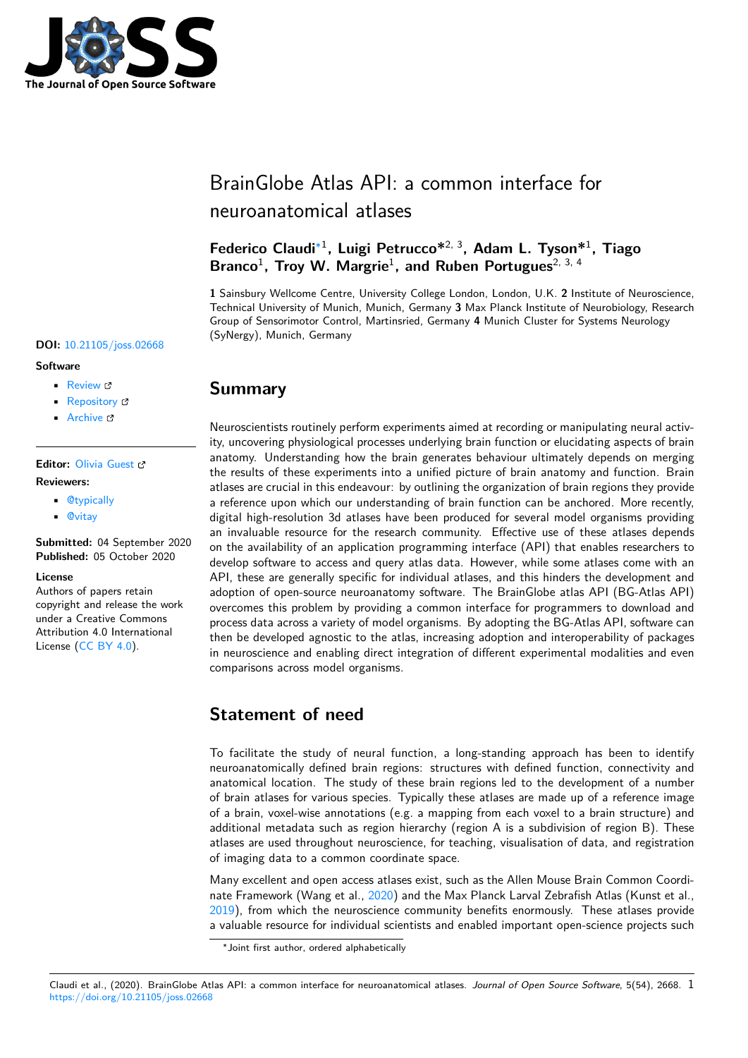

# BrainGlobe Atlas API: a common interface for neuroanatomical atlases

### **Federico Claudi**∗1 **, Luigi Petrucco\***2, 3**, Adam L. Tyson\***<sup>1</sup> **, Tiago** Branco<sup>1</sup>, Troy W. Margrie<sup>1</sup>, and Ruben Portugues<sup>2, 3, 4</sup>

**1** Sainsbury Wellcome Centre, University College London, London, U.K. **2** Institute of Neuroscience, Technical University of Munich, Munich, Germany **3** Max Planck Institute of Neurobiology, Research Group of Sensorimotor Control, Martinsried, Germany **4** Munich Cluster for Systems Neurology (SyNergy), Munich, Germany

### **DOI:** 10.21105/joss.02668

#### **Software**

- Review C
- [Repository](https://doi.org/10.21105/joss.02668) C
- Archive

### **Editor:** [Olivia Gu](https://github.com/brainglobe/bg-atlasapi/)est **Revie[wers:](https://doi.org/10.5281/zenodo.4065389)**

- @typically
- @[vitay](http://oliviaguest.com)

**Submitted:** 04 September 2020 **Publi[shed:](https://github.com/typically)** 05 October 2020

#### **Licen[se](https://github.com/vitay)**

Authors of papers retain copyright and release the work under a Creative Commons Attribution 4.0 International License (CC BY 4.0).



Neuroscientists routinely perform experiments aimed at recording or manipulating neural activity, uncovering physiological processes underlying brain function or elucidating aspects of brain anatomy. Understanding how the brain generates behaviour ultimately depends on merging the results of these experiments into a unified picture of brain anatomy and function. Brain atlases are crucial in this endeavour: by outlining the organization of brain regions they provide a reference upon which our understanding of brain function can be anchored. More recently, digital high-resolution 3d atlases have been produced for several model organisms providing an invaluable resource for the research community. Effective use of these atlases depends on the availability of an application programming interface (API) that enables researchers to develop software to access and query atlas data. However, while some atlases come with an API, these are generally specific for individual atlases, and this hinders the development and adoption of open-source neuroanatomy software. The BrainGlobe atlas API (BG-Atlas API) overcomes this problem by providing a common interface for programmers to download and process data across a variety of model organisms. By adopting the BG-Atlas API, software can then be developed agnostic to the atlas, increasing adoption and interoperability of packages in neuroscience and enabling direct integration of different experimental modalities and even comparisons across model organisms.

# **Statement of need**

To facilitate the study of neural function, a long-standing approach has been to identify neuroanatomically defined brain regions: structures with defined function, connectivity and anatomical location. The study of these brain regions led to the development of a number of brain atlases for various species. Typically these atlases are made up of a reference image of a brain, voxel-wise annotations (e.g. a mapping from each voxel to a brain structure) and additional metadata such as region hierarchy (region A is a subdivision of region B). These atlases are used throughout neuroscience, for teaching, visualisation of data, and registration of imaging data to a common coordinate space.

Many excellent and open access atlases exist, such as the Allen Mouse Brain Common Coordinate Framework (Wang et al., 2020) and the Max Planck Larval Zebrafish Atlas (Kunst et al., 2019), from which the neuroscience community benefits enormously. These atlases provide a valuable resource for individual scientists and enabled important open-science projects such

#### Claudi et al., (2020). BrainGlobe A[tlas AP](#page-2-1)I: a common interface for neuroanatomical atlases. *Journal of Open Source Software*, 5(54), 2668. 1https://doi.org/10.21105/joss.02668

<sup>∗</sup>Joint first author, ordered alph[abetica](#page-2-0)lly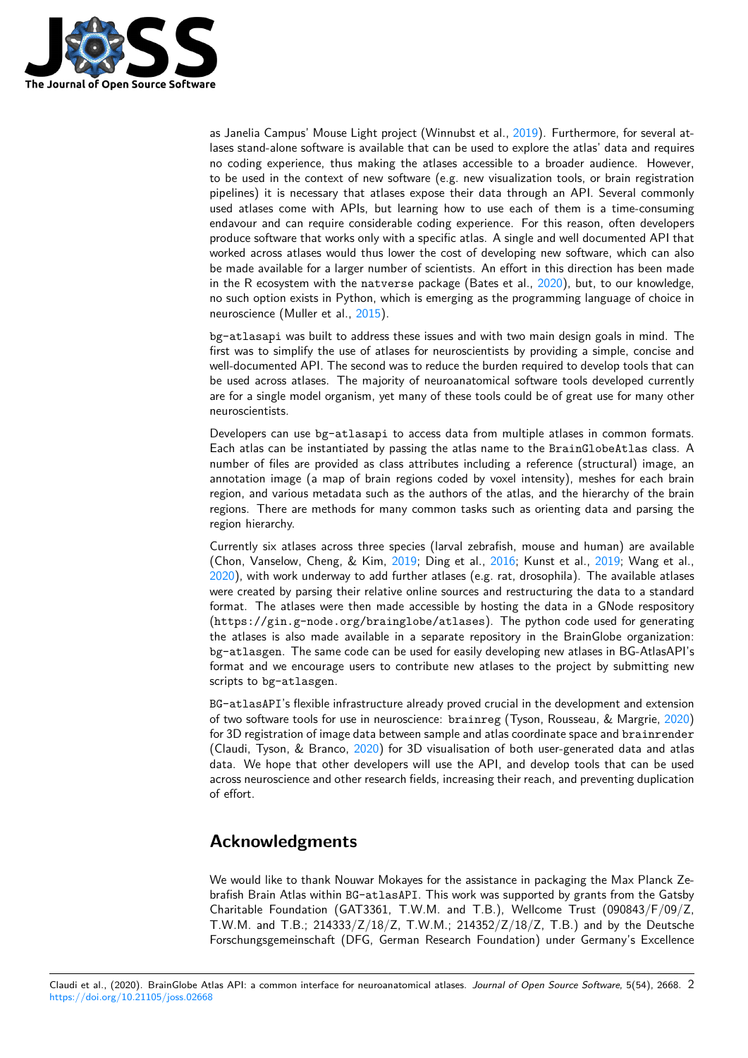

as Janelia Campus' Mouse Light project (Winnubst et al., 2019). Furthermore, for several atlases stand-alone software is available that can be used to explore the atlas' data and requires no coding experience, thus making the atlases accessible to a broader audience. However, to be used in the context of new software (e.g. new visualization tools, or brain registration pipelines) it is necessary that atlases expose their data t[hroug](#page-2-2)h an API. Several commonly used atlases come with APIs, but learning how to use each of them is a time-consuming endavour and can require considerable coding experience. For this reason, often developers produce software that works only with a specific atlas. A single and well documented API that worked across atlases would thus lower the cost of developing new software, which can also be made available for a larger number of scientists. An effort in this direction has been made in the R ecosystem with the natverse package (Bates et al., 2020), but, to our knowledge, no such option exists in Python, which is emerging as the programming language of choice in neuroscience (Muller et al., 2015).

bg-atlasapi was built to address these issues and with two main design goals in mind. The first was to simplify the use of atlases for neuroscientists by p[rovidi](#page-2-3)ng a simple, concise and well-documented API. The second was to reduce the burden required to develop tools that can be used across atlases. Th[e maj](#page-2-4)ority of neuroanatomical software tools developed currently are for a single model organism, yet many of these tools could be of great use for many other neuroscientists.

Developers can use bg-atlasapi to access data from multiple atlases in common formats. Each atlas can be instantiated by passing the atlas name to the BrainGlobeAtlas class. A number of files are provided as class attributes including a reference (structural) image, an annotation image (a map of brain regions coded by voxel intensity), meshes for each brain region, and various metadata such as the authors of the atlas, and the hierarchy of the brain regions. There are methods for many common tasks such as orienting data and parsing the region hierarchy.

Currently six atlases across three species (larval zebrafish, mouse and human) are available (Chon, Vanselow, Cheng, & Kim, 2019; Ding et al., 2016; Kunst et al., 2019; Wang et al., 2020), with work underway to add further atlases (e.g. rat, drosophila). The available atlases were created by parsing their relative online sources and restructuring the data to a standard format. The atlases were then made accessible by hosting the data in a GNode respository (https://gin.g-node.org/bra[inglo](#page-2-5)be/atlases[\). The](#page-2-6) python code [used](#page-2-1) for generating [the a](#page-2-0)tlases is also made available in a separate repository in the BrainGlobe organization: bg-atlasgen. The same code can be used for easily developing new atlases in BG-AtlasAPI's format and we encourage users to contribute new atlases to the project by submitting new scripts to bg-atlasgen.

BG-atlasAPI's flexible infrastructure already proved crucial in the development and extension of two software tools for use in neuroscience: brainreg (Tyson, Rousseau, & Margrie, 2020) for 3D registration of image data between sample and atlas coordinate space and brainrender (Claudi, Tyson, & Branco, 2020) for 3D visualisation of both user-generated data and atlas data. We hope that other developers will use the API, and develop tools that can be used across neuroscience and other research fields, increasing their reach, and preventing dupli[cation](#page-2-7) of effort.

## **Acknowledgments**

We would like to thank Nouwar Mokayes for the assistance in packaging the Max Planck Zebrafish Brain Atlas within BG-atlasAPI. This work was supported by grants from the Gatsby Charitable Foundation (GAT3361, T.W.M. and T.B.), Wellcome Trust (090843/F/09/Z, T.W.M. and T.B.; 214333/Z/18/Z, T.W.M.; 214352/Z/18/Z, T.B.) and by the Deutsche Forschungsgemeinschaft (DFG, German Research Foundation) under Germany's Excellence